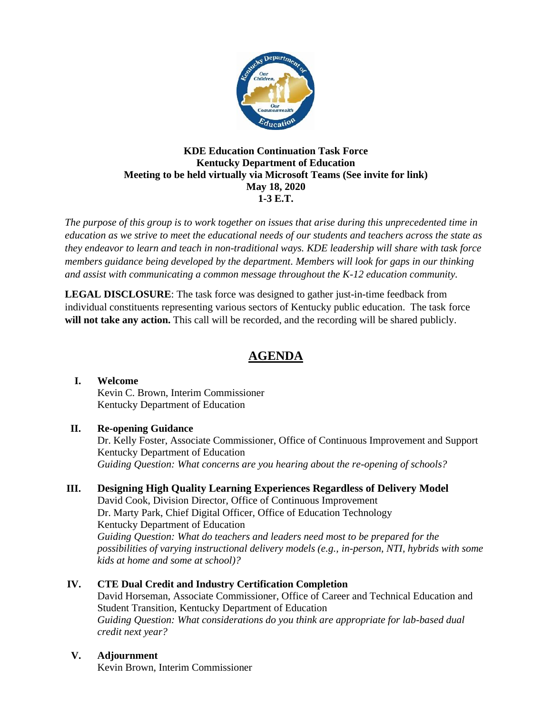

### **KDE Education Continuation Task Force Kentucky Department of Education Meeting to be held virtually via Microsoft Teams (See invite for link) May 18, 2020 1-3 E.T.**

*The purpose of this group is to work together on issues that arise during this unprecedented time in education as we strive to meet the educational needs of our students and teachers across the state as they endeavor to learn and teach in non-traditional ways. KDE leadership will share with task force members guidance being developed by the department. Members will look for gaps in our thinking and assist with communicating a common message throughout the K-12 education community.*

**LEGAL DISCLOSURE**: The task force was designed to gather just-in-time feedback from individual constituents representing various sectors of Kentucky public education. The task force **will not take any action.** This call will be recorded, and the recording will be shared publicly.

# **AGENDA**

## **I. Welcome**

Kevin C. Brown, Interim Commissioner Kentucky Department of Education

## **II. Re-opening Guidance**

Dr. Kelly Foster, Associate Commissioner, Office of Continuous Improvement and Support Kentucky Department of Education *Guiding Question: What concerns are you hearing about the re-opening of schools?*

## **III. Designing High Quality Learning Experiences Regardless of Delivery Model**

David Cook, Division Director, Office of Continuous Improvement Dr. Marty Park, Chief Digital Officer, Office of Education Technology Kentucky Department of Education *Guiding Question: What do teachers and leaders need most to be prepared for the possibilities of varying instructional delivery models (e.g., in-person, NTI, hybrids with some kids at home and some at school)?*

## **IV. CTE Dual Credit and Industry Certification Completion**

David Horseman, Associate Commissioner, Office of Career and Technical Education and Student Transition, Kentucky Department of Education *Guiding Question: What considerations do you think are appropriate for lab-based dual credit next year?* 

## **V. Adjournment**

Kevin Brown, Interim Commissioner